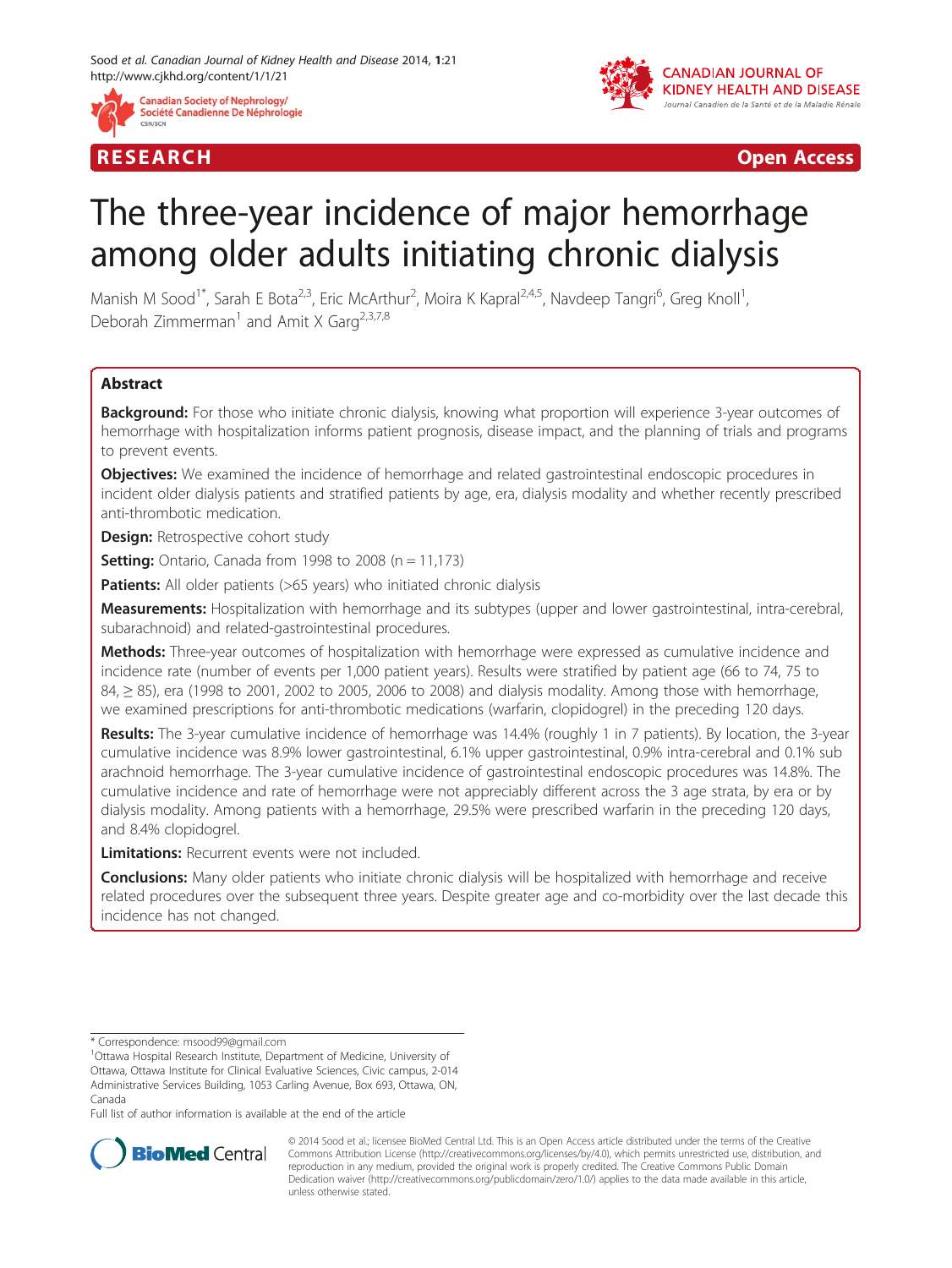

## R E S EAR CH Open Access



# The three-year incidence of major hemorrhage among older adults initiating chronic dialysis

Manish M Sood<sup>1\*</sup>, Sarah E Bota<sup>2,3</sup>, Eric McArthur<sup>2</sup>, Moira K Kapral<sup>2,4,5</sup>, Navdeep Tangri<sup>6</sup>, Greg Knoll<sup>1</sup> , Deborah Zimmerman<sup>1</sup> and Amit X Garg<sup>2,3,7,8</sup>

## Abstract

Background: For those who initiate chronic dialysis, knowing what proportion will experience 3-year outcomes of hemorrhage with hospitalization informs patient prognosis, disease impact, and the planning of trials and programs to prevent events.

**Objectives:** We examined the incidence of hemorrhage and related gastrointestinal endoscopic procedures in incident older dialysis patients and stratified patients by age, era, dialysis modality and whether recently prescribed anti-thrombotic medication.

**Design:** Retrospective cohort study

**Setting:** Ontario, Canada from 1998 to 2008 ( $n = 11,173$ )

Patients: All older patients (>65 years) who initiated chronic dialysis

Measurements: Hospitalization with hemorrhage and its subtypes (upper and lower gastrointestinal, intra-cerebral, subarachnoid) and related-gastrointestinal procedures.

Methods: Three-year outcomes of hospitalization with hemorrhage were expressed as cumulative incidence and incidence rate (number of events per 1,000 patient years). Results were stratified by patient age (66 to 74, 75 to 84, ≥ 85), era (1998 to 2001, 2002 to 2005, 2006 to 2008) and dialysis modality. Among those with hemorrhage, we examined prescriptions for anti-thrombotic medications (warfarin, clopidogrel) in the preceding 120 days.

Results: The 3-year cumulative incidence of hemorrhage was 14.4% (roughly 1 in 7 patients). By location, the 3-year cumulative incidence was 8.9% lower gastrointestinal, 6.1% upper gastrointestinal, 0.9% intra-cerebral and 0.1% sub arachnoid hemorrhage. The 3-year cumulative incidence of gastrointestinal endoscopic procedures was 14.8%. The cumulative incidence and rate of hemorrhage were not appreciably different across the 3 age strata, by era or by dialysis modality. Among patients with a hemorrhage, 29.5% were prescribed warfarin in the preceding 120 days, and 8.4% clopidogrel.

Limitations: Recurrent events were not included.

**Conclusions:** Many older patients who initiate chronic dialysis will be hospitalized with hemorrhage and receive related procedures over the subsequent three years. Despite greater age and co-morbidity over the last decade this incidence has not changed.

Full list of author information is available at the end of the article



<sup>© 2014</sup> Sood et al.; licensee BioMed Central Ltd. This is an Open Access article distributed under the terms of the Creative Commons Attribution License [\(http://creativecommons.org/licenses/by/4.0\)](http://creativecommons.org/licenses/by/4.0), which permits unrestricted use, distribution, and reproduction in any medium, provided the original work is properly credited. The Creative Commons Public Domain Dedication waiver [\(http://creativecommons.org/publicdomain/zero/1.0/](http://creativecommons.org/publicdomain/zero/1.0/)) applies to the data made available in this article, unless otherwise stated.

<sup>\*</sup> Correspondence: [msood99@gmail.com](mailto:msood99@gmail.com) <sup>1</sup>

<sup>&</sup>lt;sup>1</sup>Ottawa Hospital Research Institute, Department of Medicine, University of Ottawa, Ottawa Institute for Clinical Evaluative Sciences, Civic campus, 2-014 Administrative Services Building, 1053 Carling Avenue, Box 693, Ottawa, ON, Canada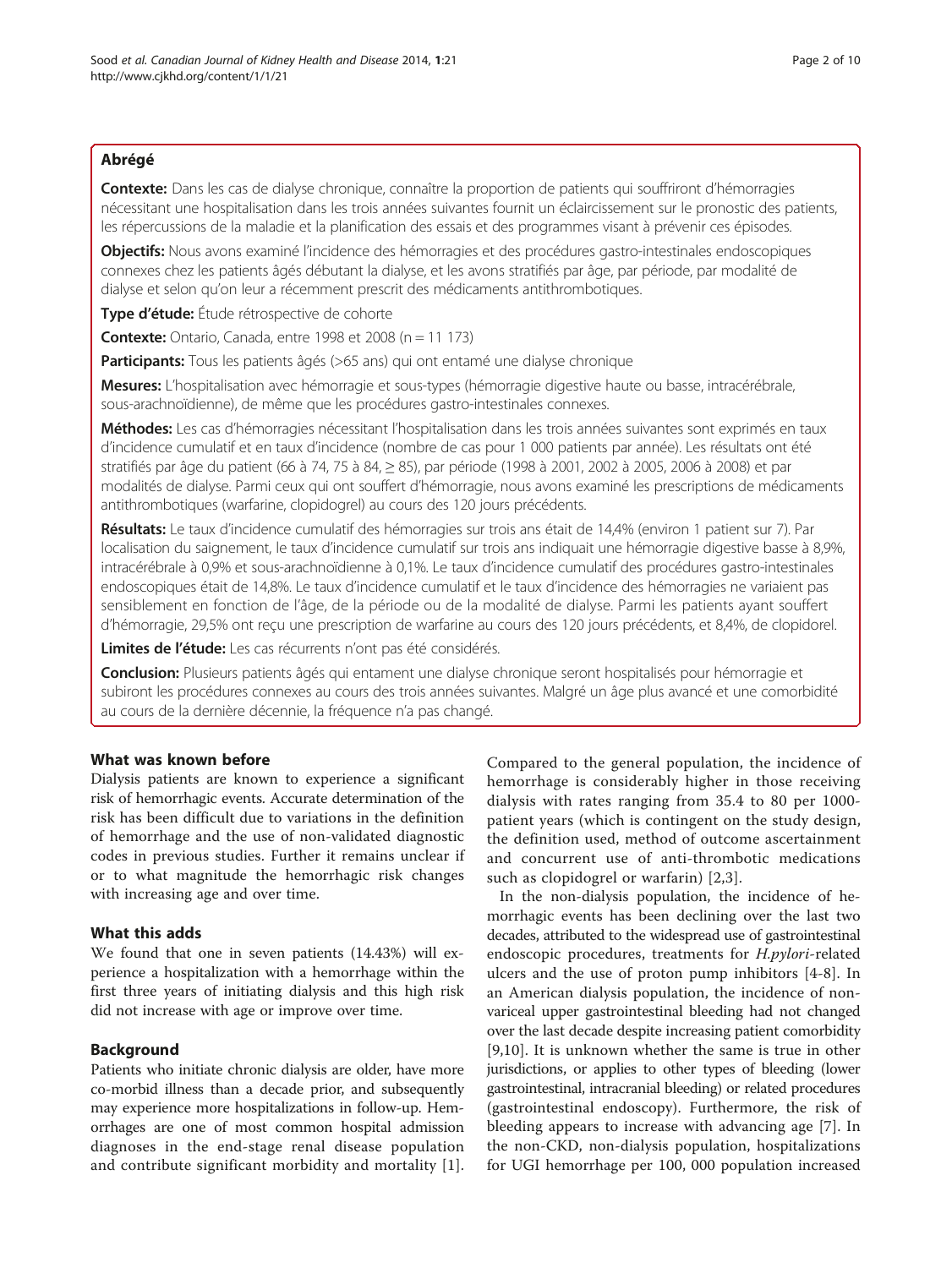## Abrégé

Contexte: Dans les cas de dialyse chronique, connaître la proportion de patients qui souffriront d'hémorragies nécessitant une hospitalisation dans les trois années suivantes fournit un éclaircissement sur le pronostic des patients, les répercussions de la maladie et la planification des essais et des programmes visant à prévenir ces épisodes.

Objectifs: Nous avons examiné l'incidence des hémorragies et des procédures gastro-intestinales endoscopiques connexes chez les patients âgés débutant la dialyse, et les avons stratifiés par âge, par période, par modalité de dialyse et selon qu'on leur a récemment prescrit des médicaments antithrombotiques.

Type d'étude: Étude rétrospective de cohorte

**Contexte:** Ontario, Canada, entre 1998 et 2008 ( $n = 11$  173)

Participants: Tous les patients âgés (>65 ans) qui ont entamé une dialyse chronique

Mesures: L'hospitalisation avec hémorragie et sous-types (hémorragie digestive haute ou basse, intracérébrale, sous-arachnoïdienne), de même que les procédures gastro-intestinales connexes.

Méthodes: Les cas d'hémorragies nécessitant l'hospitalisation dans les trois années suivantes sont exprimés en taux d'incidence cumulatif et en taux d'incidence (nombre de cas pour 1 000 patients par année). Les résultats ont été stratifiés par âge du patient (66 à 74, 75 à 84, ≥ 85), par période (1998 à 2001, 2002 à 2005, 2006 à 2008) et par modalités de dialyse. Parmi ceux qui ont souffert d'hémorragie, nous avons examiné les prescriptions de médicaments antithrombotiques (warfarine, clopidogrel) au cours des 120 jours précédents.

Résultats: Le taux d'incidence cumulatif des hémorragies sur trois ans était de 14,4% (environ 1 patient sur 7). Par localisation du saignement, le taux d'incidence cumulatif sur trois ans indiquait une hémorragie digestive basse à 8,9%, intracérébrale à 0,9% et sous-arachnoïdienne à 0,1%. Le taux d'incidence cumulatif des procédures gastro-intestinales endoscopiques était de 14,8%. Le taux d'incidence cumulatif et le taux d'incidence des hémorragies ne variaient pas sensiblement en fonction de l'âge, de la période ou de la modalité de dialyse. Parmi les patients ayant souffert d'hémorragie, 29,5% ont reçu une prescription de warfarine au cours des 120 jours précédents, et 8,4%, de clopidorel.

Limites de l'étude: Les cas récurrents n'ont pas été considérés.

Conclusion: Plusieurs patients âgés qui entament une dialyse chronique seront hospitalisés pour hémorragie et subiront les procédures connexes au cours des trois années suivantes. Malgré un âge plus avancé et une comorbidité au cours de la dernière décennie, la fréquence n'a pas changé.

#### What was known before

Dialysis patients are known to experience a significant risk of hemorrhagic events. Accurate determination of the risk has been difficult due to variations in the definition of hemorrhage and the use of non-validated diagnostic codes in previous studies. Further it remains unclear if or to what magnitude the hemorrhagic risk changes with increasing age and over time.

## What this adds

We found that one in seven patients (14.43%) will experience a hospitalization with a hemorrhage within the first three years of initiating dialysis and this high risk did not increase with age or improve over time.

## Background

Patients who initiate chronic dialysis are older, have more co-morbid illness than a decade prior, and subsequently may experience more hospitalizations in follow-up. Hemorrhages are one of most common hospital admission diagnoses in the end-stage renal disease population and contribute significant morbidity and mortality [[1](#page-8-0)].

Compared to the general population, the incidence of hemorrhage is considerably higher in those receiving dialysis with rates ranging from 35.4 to 80 per 1000 patient years (which is contingent on the study design, the definition used, method of outcome ascertainment and concurrent use of anti-thrombotic medications such as clopidogrel or warfarin) [[2,3](#page-8-0)].

In the non-dialysis population, the incidence of hemorrhagic events has been declining over the last two decades, attributed to the widespread use of gastrointestinal endoscopic procedures, treatments for H.pylori-related ulcers and the use of proton pump inhibitors [[4-8](#page-8-0)]. In an American dialysis population, the incidence of nonvariceal upper gastrointestinal bleeding had not changed over the last decade despite increasing patient comorbidity [[9,10](#page-8-0)]. It is unknown whether the same is true in other jurisdictions, or applies to other types of bleeding (lower gastrointestinal, intracranial bleeding) or related procedures (gastrointestinal endoscopy). Furthermore, the risk of bleeding appears to increase with advancing age [[7\]](#page-8-0). In the non-CKD, non-dialysis population, hospitalizations for UGI hemorrhage per 100, 000 population increased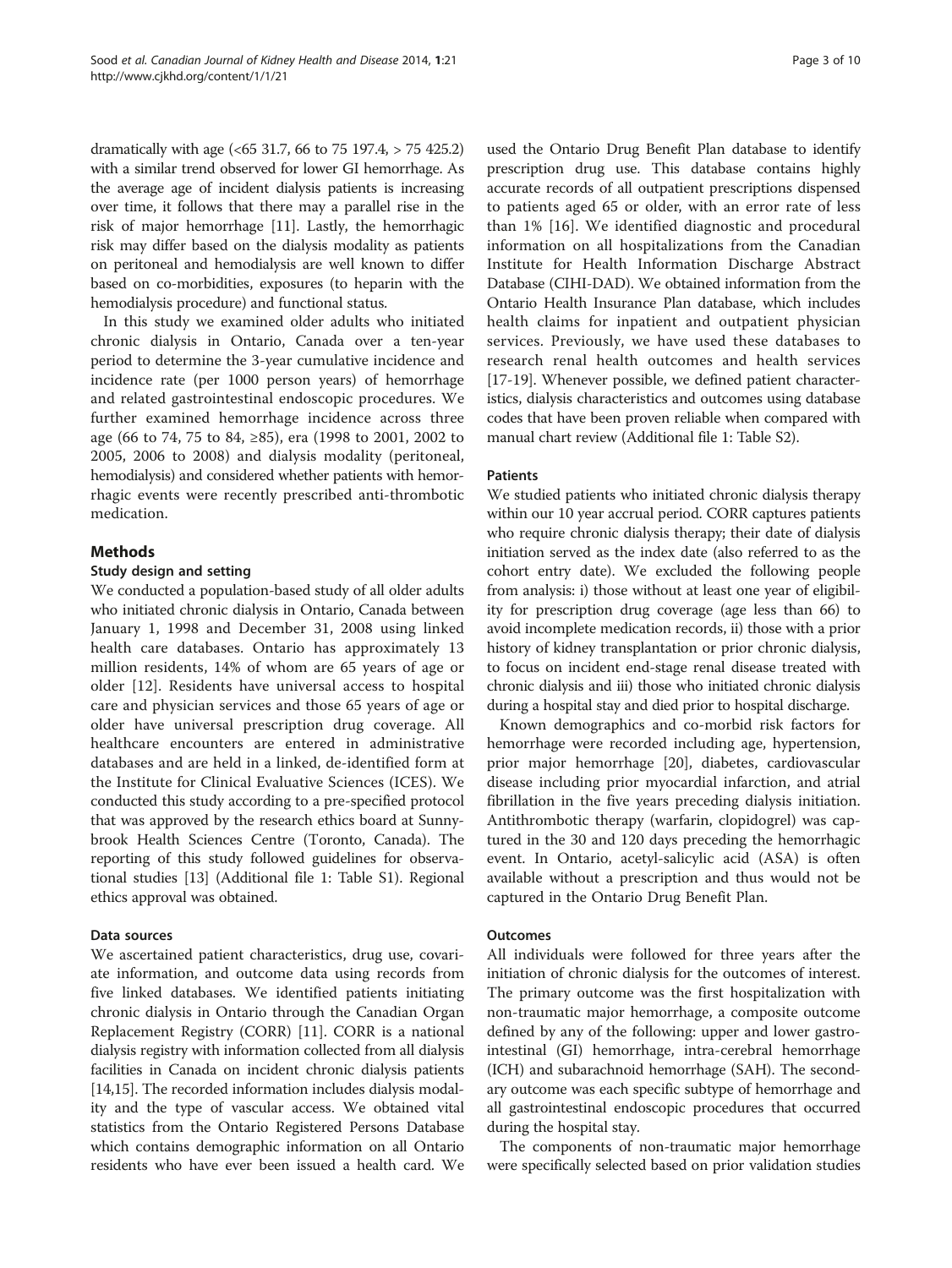dramatically with age (<65 31.7, 66 to 75 197.4, > 75 425.2) with a similar trend observed for lower GI hemorrhage. As the average age of incident dialysis patients is increasing over time, it follows that there may a parallel rise in the risk of major hemorrhage [[11](#page-8-0)]. Lastly, the hemorrhagic risk may differ based on the dialysis modality as patients on peritoneal and hemodialysis are well known to differ based on co-morbidities, exposures (to heparin with the hemodialysis procedure) and functional status.

In this study we examined older adults who initiated chronic dialysis in Ontario, Canada over a ten-year period to determine the 3-year cumulative incidence and incidence rate (per 1000 person years) of hemorrhage and related gastrointestinal endoscopic procedures. We further examined hemorrhage incidence across three age (66 to 74, 75 to 84, ≥85), era (1998 to 2001, 2002 to 2005, 2006 to 2008) and dialysis modality (peritoneal, hemodialysis) and considered whether patients with hemorrhagic events were recently prescribed anti-thrombotic medication.

#### Methods

#### Study design and setting

We conducted a population-based study of all older adults who initiated chronic dialysis in Ontario, Canada between January 1, 1998 and December 31, 2008 using linked health care databases. Ontario has approximately 13 million residents, 14% of whom are 65 years of age or older [[12\]](#page-8-0). Residents have universal access to hospital care and physician services and those 65 years of age or older have universal prescription drug coverage. All healthcare encounters are entered in administrative databases and are held in a linked, de-identified form at the Institute for Clinical Evaluative Sciences (ICES). We conducted this study according to a pre-specified protocol that was approved by the research ethics board at Sunnybrook Health Sciences Centre (Toronto, Canada). The reporting of this study followed guidelines for observational studies [\[13\]](#page-8-0) (Additional file [1](#page-8-0): Table S1). Regional ethics approval was obtained.

#### Data sources

We ascertained patient characteristics, drug use, covariate information, and outcome data using records from five linked databases. We identified patients initiating chronic dialysis in Ontario through the Canadian Organ Replacement Registry (CORR) [[11](#page-8-0)]. CORR is a national dialysis registry with information collected from all dialysis facilities in Canada on incident chronic dialysis patients [[14,15](#page-8-0)]. The recorded information includes dialysis modality and the type of vascular access. We obtained vital statistics from the Ontario Registered Persons Database which contains demographic information on all Ontario residents who have ever been issued a health card. We

used the Ontario Drug Benefit Plan database to identify prescription drug use. This database contains highly accurate records of all outpatient prescriptions dispensed to patients aged 65 or older, with an error rate of less than 1% [[16\]](#page-8-0). We identified diagnostic and procedural information on all hospitalizations from the Canadian Institute for Health Information Discharge Abstract Database (CIHI-DAD). We obtained information from the Ontario Health Insurance Plan database, which includes health claims for inpatient and outpatient physician services. Previously, we have used these databases to research renal health outcomes and health services [[17](#page-8-0)-[19\]](#page-8-0). Whenever possible, we defined patient characteristics, dialysis characteristics and outcomes using database codes that have been proven reliable when compared with manual chart review (Additional file [1](#page-8-0): Table S2).

#### Patients

We studied patients who initiated chronic dialysis therapy within our 10 year accrual period. CORR captures patients who require chronic dialysis therapy; their date of dialysis initiation served as the index date (also referred to as the cohort entry date). We excluded the following people from analysis: i) those without at least one year of eligibility for prescription drug coverage (age less than 66) to avoid incomplete medication records, ii) those with a prior history of kidney transplantation or prior chronic dialysis, to focus on incident end-stage renal disease treated with chronic dialysis and iii) those who initiated chronic dialysis during a hospital stay and died prior to hospital discharge.

Known demographics and co-morbid risk factors for hemorrhage were recorded including age, hypertension, prior major hemorrhage [\[20](#page-8-0)], diabetes, cardiovascular disease including prior myocardial infarction, and atrial fibrillation in the five years preceding dialysis initiation. Antithrombotic therapy (warfarin, clopidogrel) was captured in the 30 and 120 days preceding the hemorrhagic event. In Ontario, acetyl-salicylic acid (ASA) is often available without a prescription and thus would not be captured in the Ontario Drug Benefit Plan.

#### Outcomes

All individuals were followed for three years after the initiation of chronic dialysis for the outcomes of interest. The primary outcome was the first hospitalization with non-traumatic major hemorrhage, a composite outcome defined by any of the following: upper and lower gastrointestinal (GI) hemorrhage, intra-cerebral hemorrhage (ICH) and subarachnoid hemorrhage (SAH). The secondary outcome was each specific subtype of hemorrhage and all gastrointestinal endoscopic procedures that occurred during the hospital stay.

The components of non-traumatic major hemorrhage were specifically selected based on prior validation studies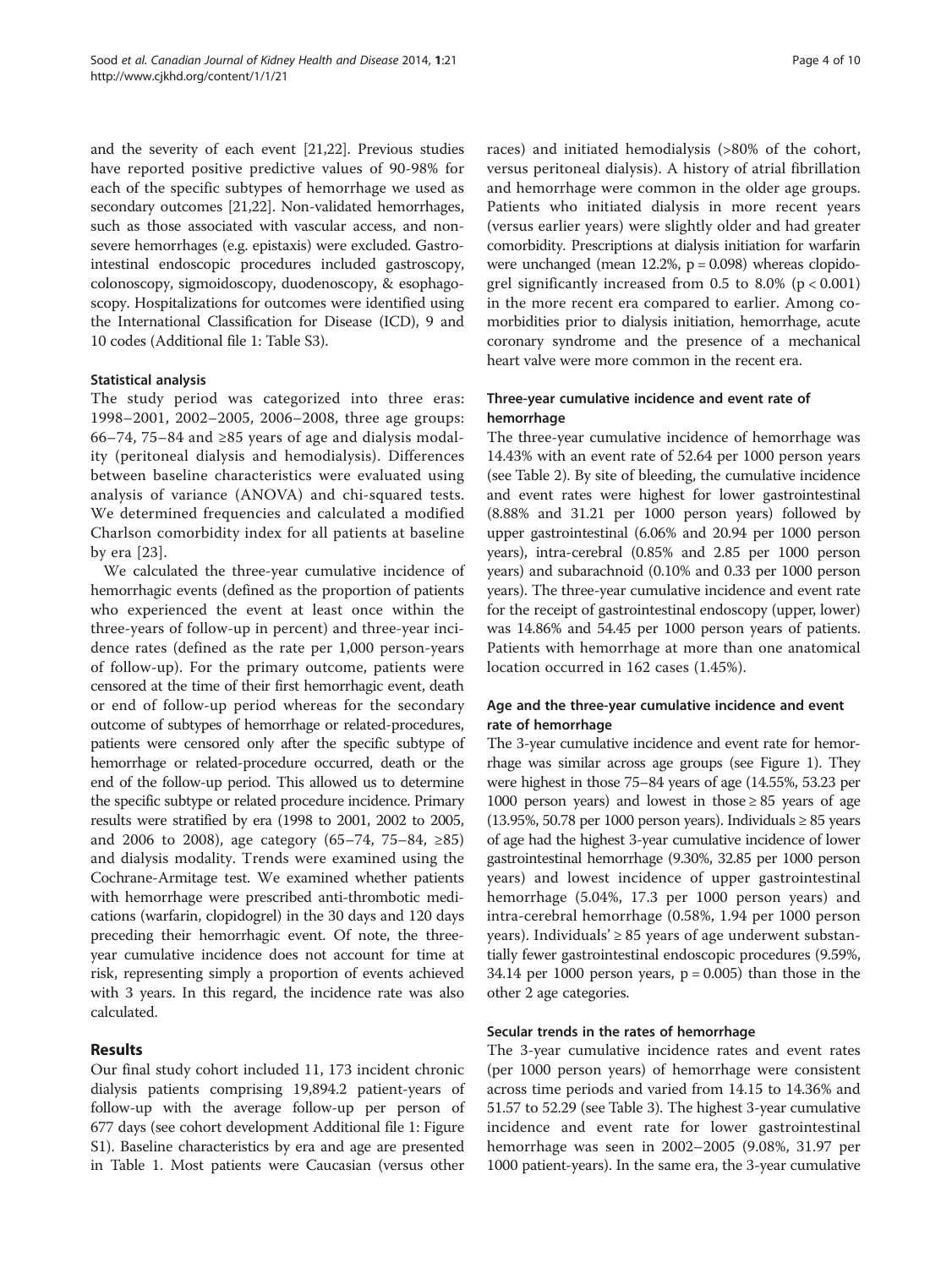and the severity of each event [[21](#page-8-0),[22](#page-8-0)]. Previous studies have reported positive predictive values of 90-98% for each of the specific subtypes of hemorrhage we used as secondary outcomes [[21,22](#page-8-0)]. Non-validated hemorrhages, such as those associated with vascular access, and nonsevere hemorrhages (e.g. epistaxis) were excluded. Gastrointestinal endoscopic procedures included gastroscopy, colonoscopy, sigmoidoscopy, duodenoscopy, & esophagoscopy. Hospitalizations for outcomes were identified using the International Classification for Disease (ICD), 9 and 10 codes (Additional file [1:](#page-8-0) Table S3).

#### Statistical analysis

The study period was categorized into three eras: 1998–2001, 2002–2005, 2006–2008, three age groups: 66–74, 75–84 and ≥85 years of age and dialysis modality (peritoneal dialysis and hemodialysis). Differences between baseline characteristics were evaluated using analysis of variance (ANOVA) and chi-squared tests. We determined frequencies and calculated a modified Charlson comorbidity index for all patients at baseline by era [[23](#page-9-0)].

We calculated the three-year cumulative incidence of hemorrhagic events (defined as the proportion of patients who experienced the event at least once within the three-years of follow-up in percent) and three-year incidence rates (defined as the rate per 1,000 person-years of follow-up). For the primary outcome, patients were censored at the time of their first hemorrhagic event, death or end of follow-up period whereas for the secondary outcome of subtypes of hemorrhage or related-procedures, patients were censored only after the specific subtype of hemorrhage or related-procedure occurred, death or the end of the follow-up period. This allowed us to determine the specific subtype or related procedure incidence. Primary results were stratified by era (1998 to 2001, 2002 to 2005, and 2006 to 2008), age category (65–74, 75–84, ≥85) and dialysis modality. Trends were examined using the Cochrane-Armitage test. We examined whether patients with hemorrhage were prescribed anti-thrombotic medications (warfarin, clopidogrel) in the 30 days and 120 days preceding their hemorrhagic event. Of note, the threeyear cumulative incidence does not account for time at risk, representing simply a proportion of events achieved with 3 years. In this regard, the incidence rate was also calculated.

## Results

Our final study cohort included 11, 173 incident chronic dialysis patients comprising 19,894.2 patient-years of follow-up with the average follow-up per person of 677 days (see cohort development Additional file [1](#page-8-0): Figure S1). Baseline characteristics by era and age are presented in Table [1](#page-4-0). Most patients were Caucasian (versus other races) and initiated hemodialysis (>80% of the cohort, versus peritoneal dialysis). A history of atrial fibrillation and hemorrhage were common in the older age groups. Patients who initiated dialysis in more recent years (versus earlier years) were slightly older and had greater comorbidity. Prescriptions at dialysis initiation for warfarin were unchanged (mean  $12.2\%$ ,  $p = 0.098$ ) whereas clopidogrel significantly increased from  $0.5$  to  $8.0\%$  ( $p < 0.001$ ) in the more recent era compared to earlier. Among comorbidities prior to dialysis initiation, hemorrhage, acute coronary syndrome and the presence of a mechanical heart valve were more common in the recent era.

## Three-year cumulative incidence and event rate of hemorrhage

The three-year cumulative incidence of hemorrhage was 14.43% with an event rate of 52.64 per 1000 person years (see Table [2\)](#page-4-0). By site of bleeding, the cumulative incidence and event rates were highest for lower gastrointestinal (8.88% and 31.21 per 1000 person years) followed by upper gastrointestinal (6.06% and 20.94 per 1000 person years), intra-cerebral (0.85% and 2.85 per 1000 person years) and subarachnoid (0.10% and 0.33 per 1000 person years). The three-year cumulative incidence and event rate for the receipt of gastrointestinal endoscopy (upper, lower) was 14.86% and 54.45 per 1000 person years of patients. Patients with hemorrhage at more than one anatomical location occurred in 162 cases (1.45%).

## Age and the three-year cumulative incidence and event rate of hemorrhage

The 3-year cumulative incidence and event rate for hemorrhage was similar across age groups (see Figure [1](#page-5-0)). They were highest in those 75–84 years of age (14.55%, 53.23 per 1000 person years) and lowest in those  $\geq 85$  years of age (13.95%, 50.78 per 1000 person years). Individuals ≥ 85 years of age had the highest 3-year cumulative incidence of lower gastrointestinal hemorrhage (9.30%, 32.85 per 1000 person years) and lowest incidence of upper gastrointestinal hemorrhage (5.04%, 17.3 per 1000 person years) and intra-cerebral hemorrhage (0.58%, 1.94 per 1000 person years). Individuals' ≥ 85 years of age underwent substantially fewer gastrointestinal endoscopic procedures (9.59%, 34.14 per 1000 person years,  $p = 0.005$ ) than those in the other 2 age categories.

## Secular trends in the rates of hemorrhage

The 3-year cumulative incidence rates and event rates (per 1000 person years) of hemorrhage were consistent across time periods and varied from 14.15 to 14.36% and 51.57 to 52.29 (see Table [3\)](#page-5-0). The highest 3-year cumulative incidence and event rate for lower gastrointestinal hemorrhage was seen in 2002–2005 (9.08%, 31.97 per 1000 patient-years). In the same era, the 3-year cumulative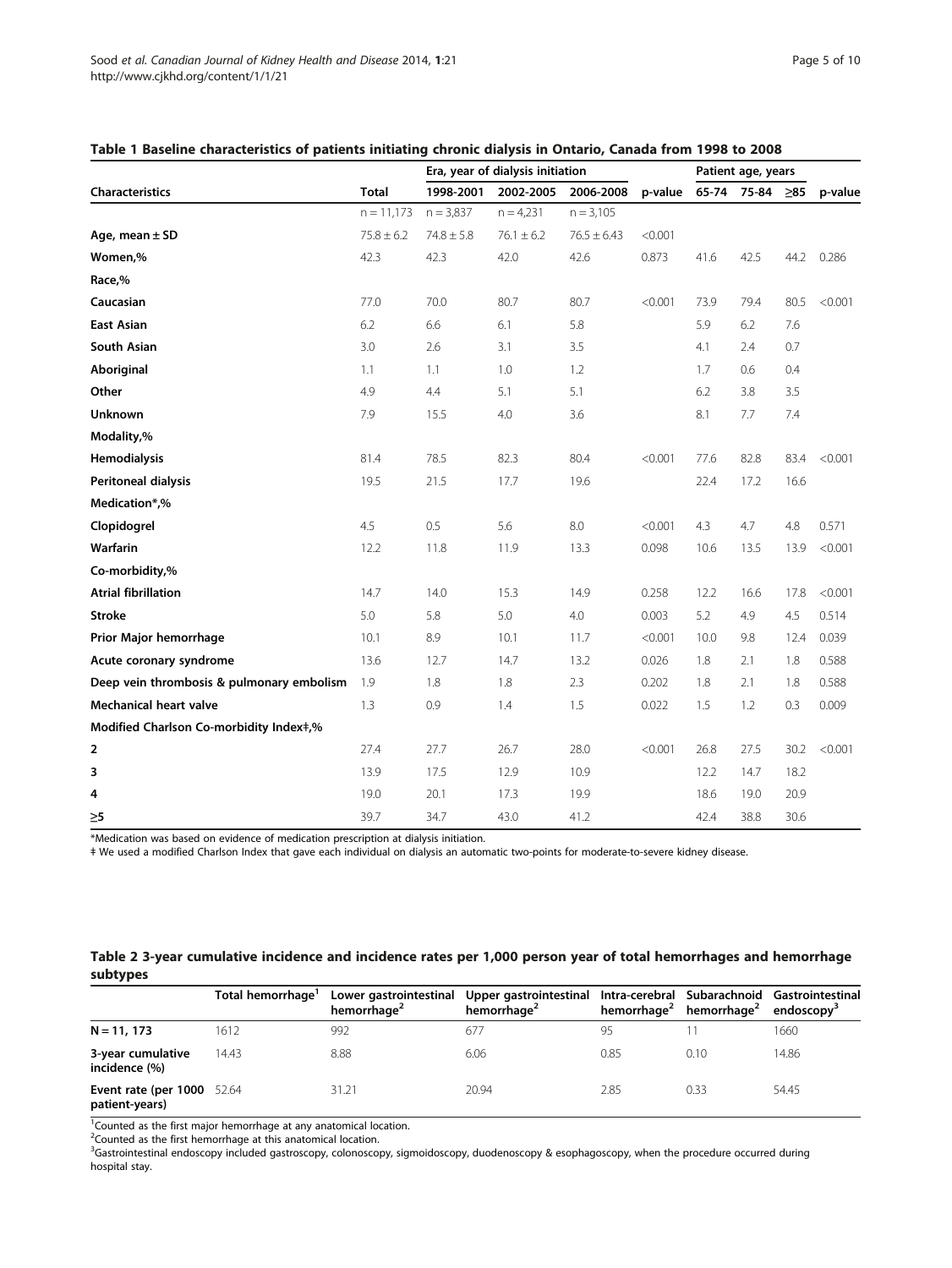|                                           |                | Era, year of dialysis initiation |                |                 | Patient age, years |      |             |           |         |
|-------------------------------------------|----------------|----------------------------------|----------------|-----------------|--------------------|------|-------------|-----------|---------|
| <b>Characteristics</b>                    | <b>Total</b>   | 1998-2001                        | 2002-2005      | 2006-2008       | p-value            |      | 65-74 75-84 | $\geq 85$ | p-value |
|                                           | $n = 11,173$   | $n = 3,837$                      | $n = 4,231$    | $n = 3,105$     |                    |      |             |           |         |
| Age, mean $\pm$ SD                        | $75.8 \pm 6.2$ | $74.8 \pm 5.8$                   | $76.1 \pm 6.2$ | $76.5 \pm 6.43$ | < 0.001            |      |             |           |         |
| Women,%                                   | 42.3           | 42.3                             | 42.0           | 42.6            | 0.873              | 41.6 | 42.5        | 44.2      | 0.286   |
| Race,%                                    |                |                                  |                |                 |                    |      |             |           |         |
| Caucasian                                 | 77.0           | 70.0                             | 80.7           | 80.7            | < 0.001            | 73.9 | 79.4        | 80.5      | < 0.001 |
| <b>East Asian</b>                         | 6.2            | 6.6                              | 6.1            | 5.8             |                    | 5.9  | 6.2         | 7.6       |         |
| South Asian                               | 3.0            | 2.6                              | 3.1            | 3.5             |                    | 4.1  | 2.4         | 0.7       |         |
| Aboriginal                                | 1.1            | 1.1                              | 1.0            | 1.2             |                    | 1.7  | 0.6         | 0.4       |         |
| Other                                     | 4.9            | 4.4                              | 5.1            | 5.1             |                    | 6.2  | 3.8         | 3.5       |         |
| <b>Unknown</b>                            | 7.9            | 15.5                             | 4.0            | 3.6             |                    | 8.1  | 7.7         | 7.4       |         |
| Modality,%                                |                |                                  |                |                 |                    |      |             |           |         |
| Hemodialysis                              | 81.4           | 78.5                             | 82.3           | 80.4            | < 0.001            | 77.6 | 82.8        | 83.4      | < 0.001 |
| Peritoneal dialysis                       | 19.5           | 21.5                             | 17.7           | 19.6            |                    | 22.4 | 17.2        | 16.6      |         |
| Medication*,%                             |                |                                  |                |                 |                    |      |             |           |         |
| Clopidogrel                               | 4.5            | 0.5                              | 5.6            | $8.0\,$         | < 0.001            | 4.3  | 4.7         | 4.8       | 0.571   |
| Warfarin                                  | 12.2           | 11.8                             | 11.9           | 13.3            | 0.098              | 10.6 | 13.5        | 13.9      | < 0.001 |
| Co-morbidity,%                            |                |                                  |                |                 |                    |      |             |           |         |
| <b>Atrial fibrillation</b>                | 14.7           | 14.0                             | 15.3           | 14.9            | 0.258              | 12.2 | 16.6        | 17.8      | < 0.001 |
| <b>Stroke</b>                             | 5.0            | 5.8                              | 5.0            | 4.0             | 0.003              | 5.2  | 4.9         | 4.5       | 0.514   |
| Prior Major hemorrhage                    | 10.1           | 8.9                              | 10.1           | 11.7            | < 0.001            | 10.0 | 9.8         | 12.4      | 0.039   |
| Acute coronary syndrome                   | 13.6           | 12.7                             | 14.7           | 13.2            | 0.026              | 1.8  | 2.1         | 1.8       | 0.588   |
| Deep vein thrombosis & pulmonary embolism | 1.9            | 1.8                              | 1.8            | 2.3             | 0.202              | 1.8  | 2.1         | 1.8       | 0.588   |
| <b>Mechanical heart valve</b>             | 1.3            | 0.9                              | 1.4            | 1.5             | 0.022              | 1.5  | 1.2         | 0.3       | 0.009   |
| Modified Charlson Co-morbidity Index‡,%   |                |                                  |                |                 |                    |      |             |           |         |
| 2                                         | 27.4           | 27.7                             | 26.7           | 28.0            | < 0.001            | 26.8 | 27.5        | 30.2      | < 0.001 |
| 3                                         | 13.9           | 17.5                             | 12.9           | 10.9            |                    | 12.2 | 14.7        | 18.2      |         |
| 4                                         | 19.0           | 20.1                             | 17.3           | 19.9            |                    | 18.6 | 19.0        | 20.9      |         |
| $\geq 5$                                  | 39.7           | 34.7                             | 43.0           | 41.2            |                    | 42.4 | 38.8        | 30.6      |         |

<span id="page-4-0"></span>

| Table 1 Baseline characteristics of patients initiating chronic dialysis in Ontario, Canada from 1998 to 2008 |  |  |  |  |
|---------------------------------------------------------------------------------------------------------------|--|--|--|--|
|---------------------------------------------------------------------------------------------------------------|--|--|--|--|

\*Medication was based on evidence of medication prescription at dialysis initiation.

ǂ We used a modified Charlson Index that gave each individual on dialysis an automatic two-points for moderate-to-severe kidney disease.

## Table 2 3-year cumulative incidence and incidence rates per 1,000 person year of total hemorrhages and hemorrhage subtypes

|                                                     | Total hemorrhage' | Lower gastrointestinal<br>hemorrhage <sup>4</sup> | Upper gastrointestinal Intra-cerebral Subarachnoid Gastrointestinal<br>hemorrhage <sup>2</sup> | hemorrhage <sup>2</sup> | hemorrhage <sup>2</sup> | endoscopy <sup>3</sup> |
|-----------------------------------------------------|-------------------|---------------------------------------------------|------------------------------------------------------------------------------------------------|-------------------------|-------------------------|------------------------|
| $N = 11, 173$                                       | 1612              | 992                                               | 677                                                                                            | 95                      |                         | 1660                   |
| 3-year cumulative<br>incidence (%)                  | 14.43             | 8.88                                              | 6.06                                                                                           | 0.85                    | 0.10                    | 14.86                  |
| <b>Event rate (per 1000</b> 52.64<br>patient-years) |                   | 31.21                                             | 20.94                                                                                          | 2.85                    | 0.33                    | 54.45                  |

<sup>1</sup>Counted as the first major hemorrhage at any anatomical location.<br><sup>2</sup>Counted as the first hemorrhage at this anatomical location.<br><sup>3</sup>Gastrointestinal endoscopy included gastroscopy, colonoscopy, sigmoidoscopy, duodenosc hospital stay.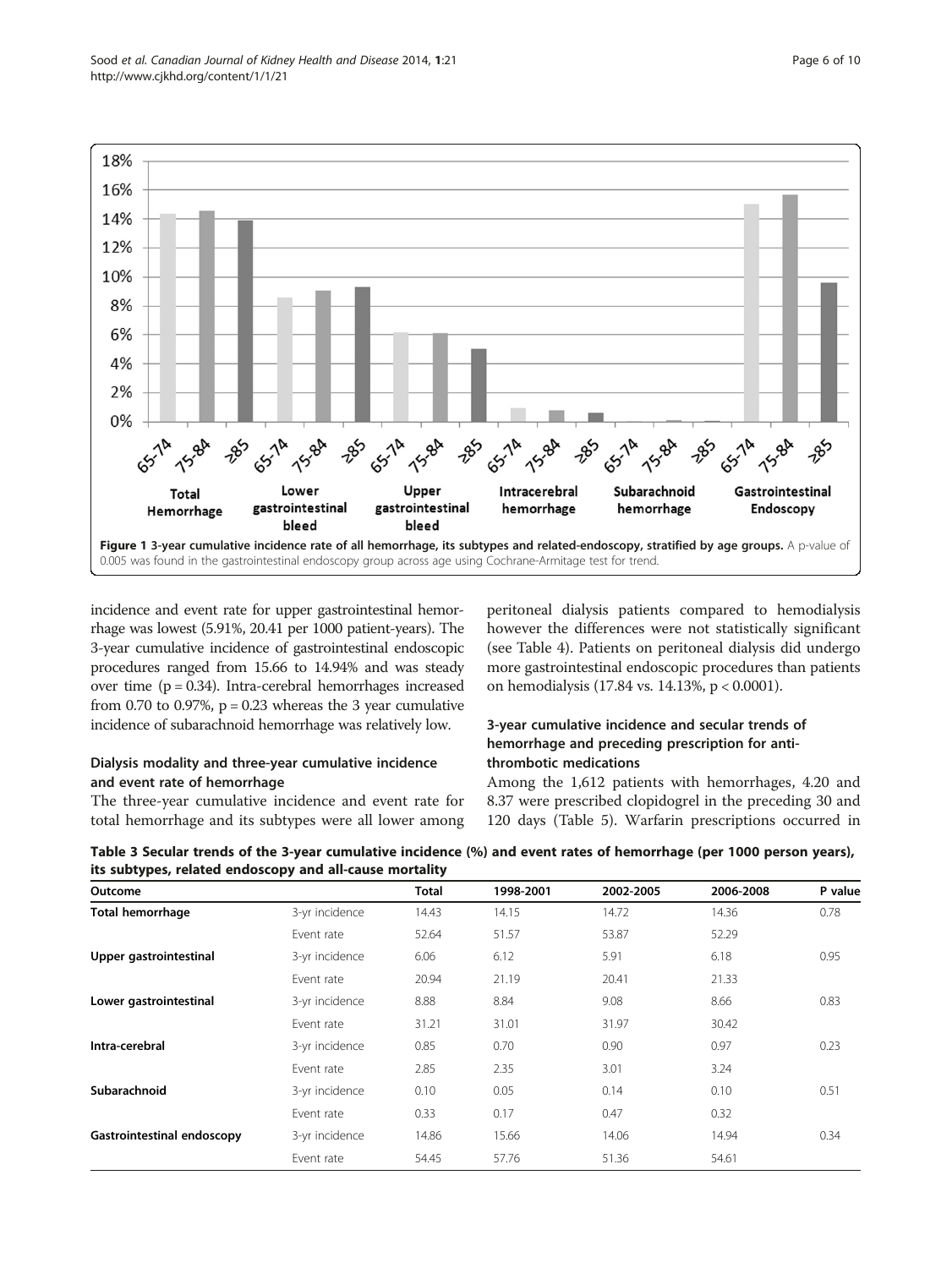<span id="page-5-0"></span>

incidence and event rate for upper gastrointestinal hemorrhage was lowest (5.91%, 20.41 per 1000 patient-years). The 3-year cumulative incidence of gastrointestinal endoscopic procedures ranged from 15.66 to 14.94% and was steady over time  $(p = 0.34)$ . Intra-cerebral hemorrhages increased from 0.70 to 0.97%,  $p = 0.23$  whereas the 3 year cumulative incidence of subarachnoid hemorrhage was relatively low.

## Dialysis modality and three-year cumulative incidence and event rate of hemorrhage

The three-year cumulative incidence and event rate for total hemorrhage and its subtypes were all lower among

peritoneal dialysis patients compared to hemodialysis however the differences were not statistically significant (see Table [4\)](#page-6-0). Patients on peritoneal dialysis did undergo more gastrointestinal endoscopic procedures than patients on hemodialysis (17.84 vs. 14.13%, p < 0.0001).

## 3-year cumulative incidence and secular trends of hemorrhage and preceding prescription for antithrombotic medications

Among the 1,612 patients with hemorrhages, 4.20 and 8.37 were prescribed clopidogrel in the preceding 30 and 120 days (Table [5](#page-6-0)). Warfarin prescriptions occurred in

| Outcome                    |                | <b>Total</b> | 1998-2001 | 2002-2005 | 2006-2008 | P value |
|----------------------------|----------------|--------------|-----------|-----------|-----------|---------|
| <b>Total hemorrhage</b>    | 3-yr incidence | 14.43        | 14.15     | 14.72     | 14.36     | 0.78    |
|                            | Event rate     | 52.64        | 51.57     | 53.87     | 52.29     |         |
| Upper gastrointestinal     | 3-yr incidence | 6.06         | 6.12      | 5.91      | 6.18      | 0.95    |
|                            | Event rate     | 20.94        | 21.19     | 20.41     | 21.33     |         |
| Lower gastrointestinal     | 3-yr incidence | 8.88         | 8.84      | 9.08      | 8.66      | 0.83    |
|                            | Event rate     | 31.21        | 31.01     | 31.97     | 30.42     |         |
| Intra-cerebral             | 3-yr incidence | 0.85         | 0.70      | 0.90      | 0.97      | 0.23    |
|                            | Event rate     | 2.85         | 2.35      | 3.01      | 3.24      |         |
| Subarachnoid               | 3-yr incidence | 0.10         | 0.05      | 0.14      | 0.10      | 0.51    |
|                            | Event rate     | 0.33         | 0.17      | 0.47      | 0.32      |         |
| Gastrointestinal endoscopy | 3-yr incidence | 14.86        | 15.66     | 14.06     | 14.94     | 0.34    |
|                            | Event rate     | 54.45        | 57.76     | 51.36     | 54.61     |         |

Table 3 Secular trends of the 3-year cumulative incidence (%) and event rates of hemorrhage (per 1000 person years), its subtypes, related endoscopy and all-cause mortality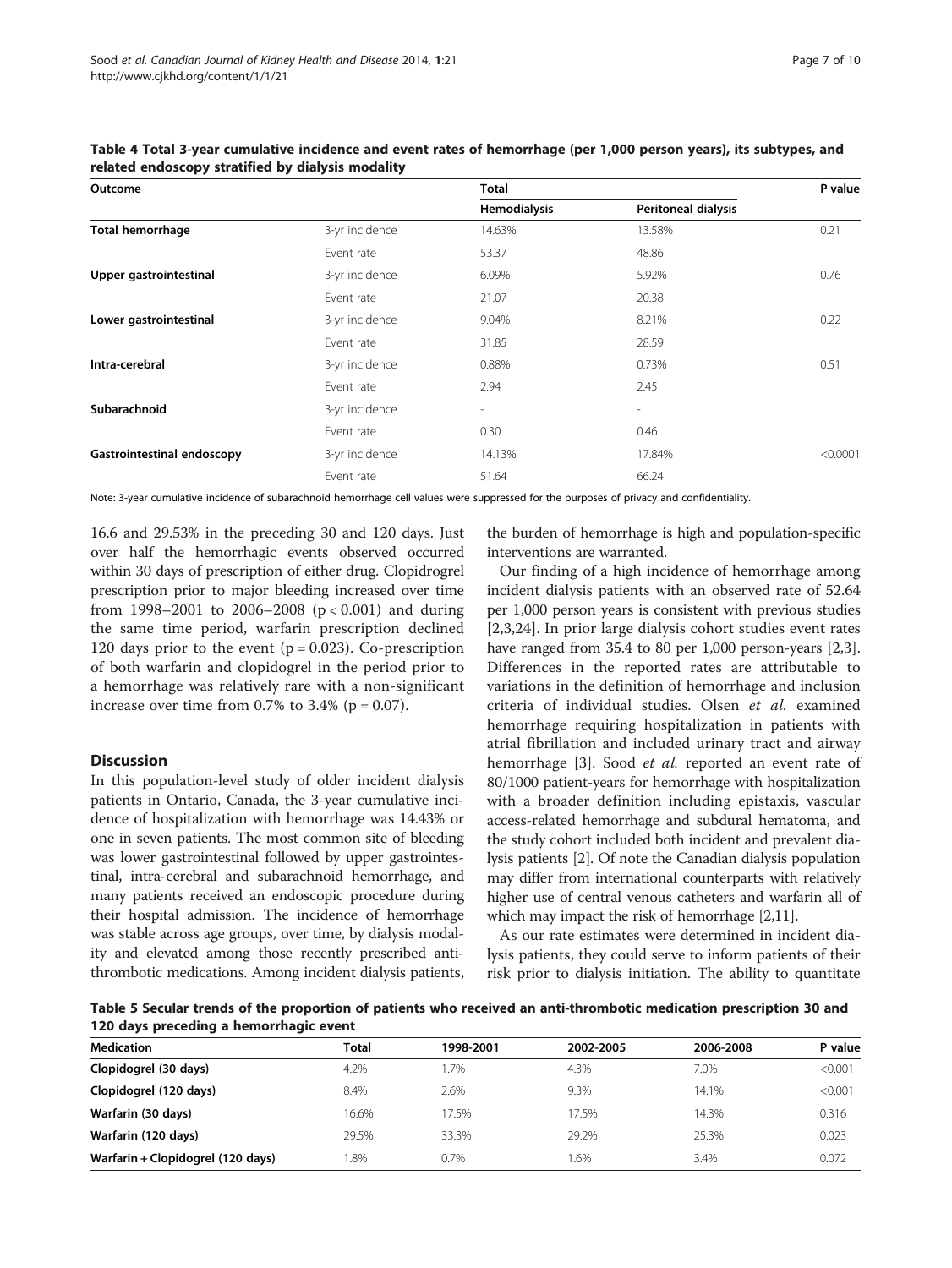| Outcome                    |                | Total        |                            | P value  |  |
|----------------------------|----------------|--------------|----------------------------|----------|--|
|                            |                | Hemodialysis | <b>Peritoneal dialysis</b> |          |  |
| <b>Total hemorrhage</b>    | 3-yr incidence | 14.63%       | 13.58%                     | 0.21     |  |
|                            | Event rate     | 53.37        | 48.86                      |          |  |
| Upper gastrointestinal     | 3-yr incidence | 6.09%        | 5.92%                      | 0.76     |  |
|                            | Event rate     | 21.07        | 20.38                      |          |  |
| Lower gastrointestinal     | 3-yr incidence | 9.04%        | 8.21%                      | 0.22     |  |
|                            | Event rate     | 31.85        | 28.59                      |          |  |
| Intra-cerebral             | 3-yr incidence | 0.88%        | 0.73%                      | 0.51     |  |
|                            | Event rate     | 2.94         | 2.45                       |          |  |
| Subarachnoid               | 3-yr incidence | $\sim$       | $\overline{\phantom{a}}$   |          |  |
|                            | Event rate     | 0.30         | 0.46                       |          |  |
| Gastrointestinal endoscopy | 3-yr incidence | 14.13%       | 17.84%                     | < 0.0001 |  |
|                            | Event rate     | 51.64        | 66.24                      |          |  |

<span id="page-6-0"></span>Table 4 Total 3-year cumulative incidence and event rates of hemorrhage (per 1,000 person years), its subtypes, and related endoscopy stratified by dialysis modality

Note: 3-year cumulative incidence of subarachnoid hemorrhage cell values were suppressed for the purposes of privacy and confidentiality.

16.6 and 29.53% in the preceding 30 and 120 days. Just over half the hemorrhagic events observed occurred within 30 days of prescription of either drug. Clopidrogrel prescription prior to major bleeding increased over time from 1998–2001 to 2006–2008 ( $p < 0.001$ ) and during the same time period, warfarin prescription declined 120 days prior to the event  $(p = 0.023)$ . Co-prescription of both warfarin and clopidogrel in the period prior to a hemorrhage was relatively rare with a non-significant increase over time from  $0.7\%$  to  $3.4\%$  (p = 0.07).

## **Discussion**

In this population-level study of older incident dialysis patients in Ontario, Canada, the 3-year cumulative incidence of hospitalization with hemorrhage was 14.43% or one in seven patients. The most common site of bleeding was lower gastrointestinal followed by upper gastrointestinal, intra-cerebral and subarachnoid hemorrhage, and many patients received an endoscopic procedure during their hospital admission. The incidence of hemorrhage was stable across age groups, over time, by dialysis modality and elevated among those recently prescribed antithrombotic medications. Among incident dialysis patients,

the burden of hemorrhage is high and population-specific interventions are warranted.

Our finding of a high incidence of hemorrhage among incident dialysis patients with an observed rate of 52.64 per 1,000 person years is consistent with previous studies [[2,3](#page-8-0)[,24](#page-9-0)]. In prior large dialysis cohort studies event rates have ranged from 35.4 to 80 per 1,000 person-years [[2,3](#page-8-0)]. Differences in the reported rates are attributable to variations in the definition of hemorrhage and inclusion criteria of individual studies. Olsen et al. examined hemorrhage requiring hospitalization in patients with atrial fibrillation and included urinary tract and airway hemorrhage [\[3](#page-8-0)]. Sood *et al.* reported an event rate of 80/1000 patient-years for hemorrhage with hospitalization with a broader definition including epistaxis, vascular access-related hemorrhage and subdural hematoma, and the study cohort included both incident and prevalent dialysis patients [[2](#page-8-0)]. Of note the Canadian dialysis population may differ from international counterparts with relatively higher use of central venous catheters and warfarin all of which may impact the risk of hemorrhage [[2,11](#page-8-0)].

As our rate estimates were determined in incident dialysis patients, they could serve to inform patients of their risk prior to dialysis initiation. The ability to quantitate

Table 5 Secular trends of the proportion of patients who received an anti-thrombotic medication prescription 30 and 120 days preceding a hemorrhagic event

| <b>Medication</b>                 | Total | 1998-2001 | 2002-2005 | 2006-2008 | P value |
|-----------------------------------|-------|-----------|-----------|-----------|---------|
| Clopidogrel (30 days)             | 4.2%  | .7%       | 4.3%      | 7.0%      | < 0.001 |
| Clopidogrel (120 days)            | 8.4%  | 2.6%      | 9.3%      | 14.1%     | < 0.001 |
| Warfarin (30 days)                | 16.6% | 7.5%      | 7.5%      | 14.3%     | 0.316   |
| Warfarin (120 days)               | 29.5% | 33.3%     | 29.2%     | 25.3%     | 0.023   |
| Warfarin + Clopidogrel (120 days) | .8%   | 0.7%      | .6%       | 3.4%      | 0.072   |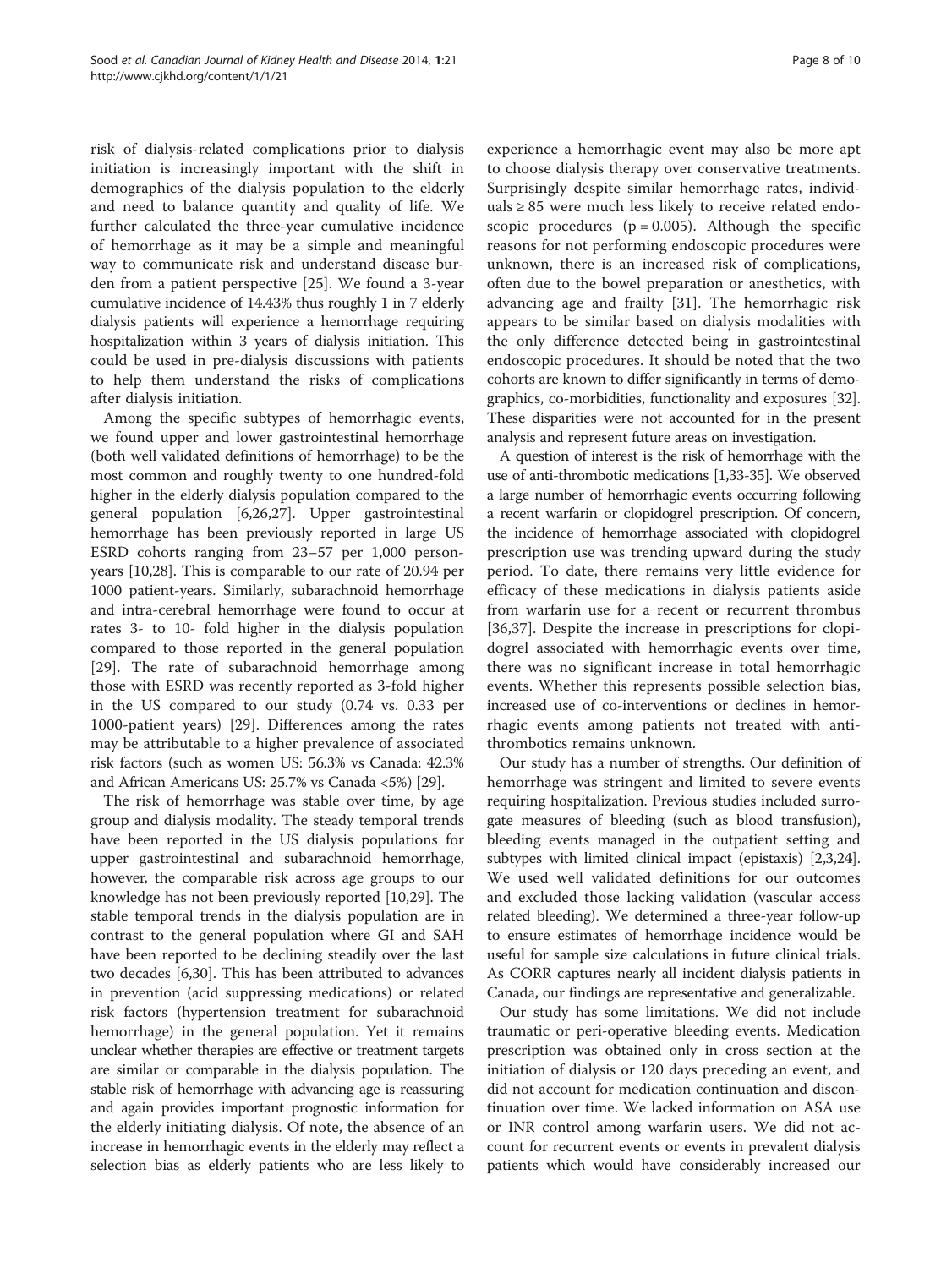risk of dialysis-related complications prior to dialysis initiation is increasingly important with the shift in demographics of the dialysis population to the elderly and need to balance quantity and quality of life. We further calculated the three-year cumulative incidence of hemorrhage as it may be a simple and meaningful way to communicate risk and understand disease burden from a patient perspective [\[25](#page-9-0)]. We found a 3-year cumulative incidence of 14.43% thus roughly 1 in 7 elderly dialysis patients will experience a hemorrhage requiring hospitalization within 3 years of dialysis initiation. This could be used in pre-dialysis discussions with patients to help them understand the risks of complications after dialysis initiation.

Among the specific subtypes of hemorrhagic events, we found upper and lower gastrointestinal hemorrhage (both well validated definitions of hemorrhage) to be the most common and roughly twenty to one hundred-fold higher in the elderly dialysis population compared to the general population [[6,](#page-8-0)[26,27\]](#page-9-0). Upper gastrointestinal hemorrhage has been previously reported in large US ESRD cohorts ranging from 23–57 per 1,000 personyears [[10](#page-8-0)[,28](#page-9-0)]. This is comparable to our rate of 20.94 per 1000 patient-years. Similarly, subarachnoid hemorrhage and intra-cerebral hemorrhage were found to occur at rates 3- to 10- fold higher in the dialysis population compared to those reported in the general population [[29\]](#page-9-0). The rate of subarachnoid hemorrhage among those with ESRD was recently reported as 3-fold higher in the US compared to our study (0.74 vs. 0.33 per 1000-patient years) [[29\]](#page-9-0). Differences among the rates may be attributable to a higher prevalence of associated risk factors (such as women US: 56.3% vs Canada: 42.3% and African Americans US: 25.7% vs Canada <5%) [[29](#page-9-0)].

The risk of hemorrhage was stable over time, by age group and dialysis modality. The steady temporal trends have been reported in the US dialysis populations for upper gastrointestinal and subarachnoid hemorrhage, however, the comparable risk across age groups to our knowledge has not been previously reported [\[10](#page-8-0)[,29](#page-9-0)]. The stable temporal trends in the dialysis population are in contrast to the general population where GI and SAH have been reported to be declining steadily over the last two decades [\[6](#page-8-0)[,30](#page-9-0)]. This has been attributed to advances in prevention (acid suppressing medications) or related risk factors (hypertension treatment for subarachnoid hemorrhage) in the general population. Yet it remains unclear whether therapies are effective or treatment targets are similar or comparable in the dialysis population. The stable risk of hemorrhage with advancing age is reassuring and again provides important prognostic information for the elderly initiating dialysis. Of note, the absence of an increase in hemorrhagic events in the elderly may reflect a selection bias as elderly patients who are less likely to

experience a hemorrhagic event may also be more apt to choose dialysis therapy over conservative treatments. Surprisingly despite similar hemorrhage rates, individuals ≥ 85 were much less likely to receive related endoscopic procedures  $(p = 0.005)$ . Although the specific reasons for not performing endoscopic procedures were unknown, there is an increased risk of complications, often due to the bowel preparation or anesthetics, with advancing age and frailty [\[31](#page-9-0)]. The hemorrhagic risk appears to be similar based on dialysis modalities with the only difference detected being in gastrointestinal endoscopic procedures. It should be noted that the two cohorts are known to differ significantly in terms of demographics, co-morbidities, functionality and exposures [[32](#page-9-0)]. These disparities were not accounted for in the present analysis and represent future areas on investigation.

A question of interest is the risk of hemorrhage with the use of anti-thrombotic medications [[1](#page-8-0)[,33-35](#page-9-0)]. We observed a large number of hemorrhagic events occurring following a recent warfarin or clopidogrel prescription. Of concern, the incidence of hemorrhage associated with clopidogrel prescription use was trending upward during the study period. To date, there remains very little evidence for efficacy of these medications in dialysis patients aside from warfarin use for a recent or recurrent thrombus [[36,37](#page-9-0)]. Despite the increase in prescriptions for clopidogrel associated with hemorrhagic events over time, there was no significant increase in total hemorrhagic events. Whether this represents possible selection bias, increased use of co-interventions or declines in hemorrhagic events among patients not treated with antithrombotics remains unknown.

Our study has a number of strengths. Our definition of hemorrhage was stringent and limited to severe events requiring hospitalization. Previous studies included surrogate measures of bleeding (such as blood transfusion), bleeding events managed in the outpatient setting and subtypes with limited clinical impact (epistaxis) [\[2,3,](#page-8-0)[24](#page-9-0)]. We used well validated definitions for our outcomes and excluded those lacking validation (vascular access related bleeding). We determined a three-year follow-up to ensure estimates of hemorrhage incidence would be useful for sample size calculations in future clinical trials. As CORR captures nearly all incident dialysis patients in Canada, our findings are representative and generalizable.

Our study has some limitations. We did not include traumatic or peri-operative bleeding events. Medication prescription was obtained only in cross section at the initiation of dialysis or 120 days preceding an event, and did not account for medication continuation and discontinuation over time. We lacked information on ASA use or INR control among warfarin users. We did not account for recurrent events or events in prevalent dialysis patients which would have considerably increased our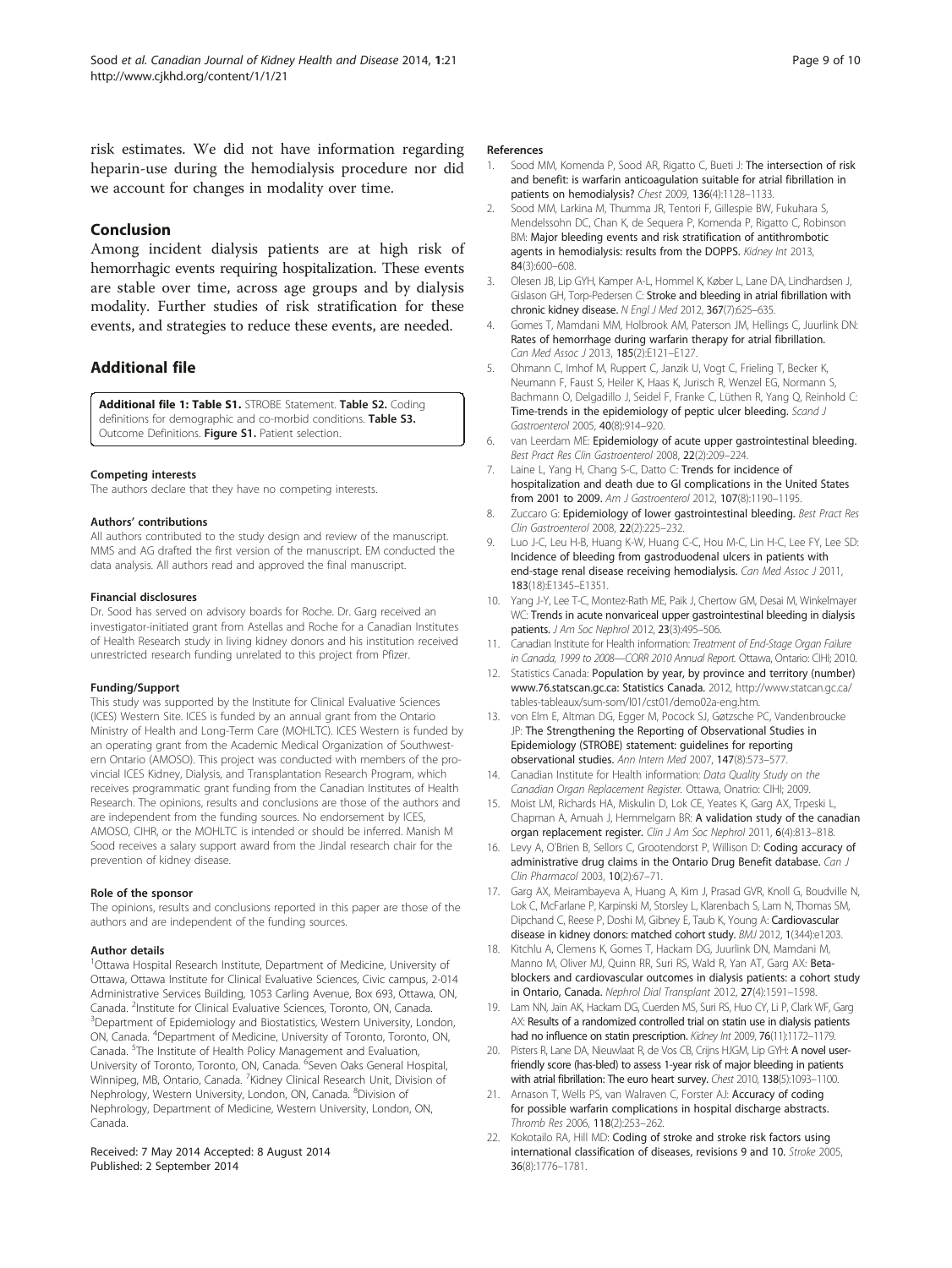<span id="page-8-0"></span>risk estimates. We did not have information regarding heparin-use during the hemodialysis procedure nor did we account for changes in modality over time.

#### Conclusion

Among incident dialysis patients are at high risk of hemorrhagic events requiring hospitalization. These events are stable over time, across age groups and by dialysis modality. Further studies of risk stratification for these events, and strategies to reduce these events, are needed.

## Additional file

[Additional file 1: Table S1.](http://www.cjkhd.org/content/supplementary/s40697-014-0021-x-S1.doc) STROBE Statement. Table S2. Coding definitions for demographic and co-morbid conditions. **Table S3.** Outcome Definitions. Figure S1. Patient selection.

#### Competing interests

The authors declare that they have no competing interests.

#### Authors' contributions

All authors contributed to the study design and review of the manuscript. MMS and AG drafted the first version of the manuscript. EM conducted the data analysis. All authors read and approved the final manuscript.

#### Financial disclosures

Dr. Sood has served on advisory boards for Roche. Dr. Garg received an investigator-initiated grant from Astellas and Roche for a Canadian Institutes of Health Research study in living kidney donors and his institution received unrestricted research funding unrelated to this project from Pfizer.

#### Funding/Support

This study was supported by the Institute for Clinical Evaluative Sciences (ICES) Western Site. ICES is funded by an annual grant from the Ontario Ministry of Health and Long-Term Care (MOHLTC). ICES Western is funded by an operating grant from the Academic Medical Organization of Southwestern Ontario (AMOSO). This project was conducted with members of the provincial ICES Kidney, Dialysis, and Transplantation Research Program, which receives programmatic grant funding from the Canadian Institutes of Health Research. The opinions, results and conclusions are those of the authors and are independent from the funding sources. No endorsement by ICES, AMOSO, CIHR, or the MOHLTC is intended or should be inferred. Manish M Sood receives a salary support award from the Jindal research chair for the prevention of kidney disease.

#### Role of the sponsor

The opinions, results and conclusions reported in this paper are those of the authors and are independent of the funding sources.

#### Author details

<sup>1</sup>Ottawa Hospital Research Institute, Department of Medicine, University of Ottawa, Ottawa Institute for Clinical Evaluative Sciences, Civic campus, 2-014 Administrative Services Building, 1053 Carling Avenue, Box 693, Ottawa, ON, Canada. <sup>2</sup>Institute for Clinical Evaluative Sciences, Toronto, ON, Canada.<br><sup>3</sup>Department of Epidemiology and Biostatistics Western University Lor <sup>3</sup>Department of Epidemiology and Biostatistics, Western University, London, ON, Canada. <sup>4</sup>Department of Medicine, University of Toronto, Toronto, ON, Canada. <sup>5</sup>The Institute of Health Policy Management and Evaluation, University of Toronto, Toronto, ON, Canada. <sup>6</sup>Seven Oaks General Hospital, Winnipeg, MB, Ontario, Canada. <sup>7</sup>Kidney Clinical Research Unit, Division of Nephrology, Western University, London, ON, Canada. <sup>8</sup>Division of Nephrology, Department of Medicine, Western University, London, ON, Canada.

#### Received: 7 May 2014 Accepted: 8 August 2014 Published: 2 September 2014

#### References

- Sood MM, Komenda P, Sood AR, Rigatto C, Bueti J: The intersection of risk and benefit: is warfarin anticoagulation suitable for atrial fibrillation in patients on hemodialysis? Chest 2009, 136(4):1128–1133.
- 2. Sood MM, Larkina M, Thumma JR, Tentori F, Gillespie BW, Fukuhara S, Mendelssohn DC, Chan K, de Sequera P, Komenda P, Rigatto C, Robinson BM: Major bleeding events and risk stratification of antithrombotic agents in hemodialysis: results from the DOPPS. Kidney Int 2013, 84(3):600–608.
- 3. Olesen JB, Lip GYH, Kamper A-L, Hommel K, Køber L, Lane DA, Lindhardsen J, Gislason GH, Torp-Pedersen C: Stroke and bleeding in atrial fibrillation with chronic kidney disease. N Engl J Med 2012, 367(7):625–635.
- 4. Gomes T, Mamdani MM, Holbrook AM, Paterson JM, Hellings C, Juurlink DN: Rates of hemorrhage during warfarin therapy for atrial fibrillation. Can Med Assoc J 2013, 185(2):E121–E127.
- 5. Ohmann C, Imhof M, Ruppert C, Janzik U, Vogt C, Frieling T, Becker K, Neumann F, Faust S, Heiler K, Haas K, Jurisch R, Wenzel EG, Normann S, Bachmann O, Delgadillo J, Seidel F, Franke C, Lüthen R, Yang Q, Reinhold C: Time-trends in the epidemiology of peptic ulcer bleeding. Scand J Gastroenterol 2005, 40(8):914–920.
- 6. van Leerdam ME: Epidemiology of acute upper gastrointestinal bleeding. Best Pract Res Clin Gastroenterol 2008, 22(2):209–224.
- 7. Laine L, Yang H, Chang S-C, Datto C: Trends for incidence of hospitalization and death due to GI complications in the United States from 2001 to 2009. Am J Gastroenterol 2012, 107(8):1190–1195.
- 8. Zuccaro G: Epidemiology of lower gastrointestinal bleeding. Best Pract Res Clin Gastroenterol 2008, 22(2):225–232.
- 9. Luo J-C, Leu H-B, Huang K-W, Huang C-C, Hou M-C, Lin H-C, Lee FY, Lee SD: Incidence of bleeding from gastroduodenal ulcers in patients with end-stage renal disease receiving hemodialysis. Can Med Assoc J 2011, 183(18):E1345–E1351.
- 10. Yang J-Y, Lee T-C, Montez-Rath ME, Paik J, Chertow GM, Desai M, Winkelmayer WC: Trends in acute nonvariceal upper gastrointestinal bleeding in dialysis patients. J Am Soc Nephrol 2012, 23(3):495–506.
- 11. Canadian Institute for Health information: Treatment of End-Stage Organ Failure in Canada, 1999 to 2008—CORR 2010 Annual Report. Ottawa, Ontario: CIHI; 2010.
- 12. Statistics Canada: Population by year, by province and territory (number) www.76.statscan.gc.ca: Statistics Canada. 2012, [http://www.statcan.gc.ca/](http://www.statcan.gc.ca/tables-tableaux/sum-som/l01/cst01/demo02a-eng.htm) [tables-tableaux/sum-som/l01/cst01/demo02a-eng.htm.](http://www.statcan.gc.ca/tables-tableaux/sum-som/l01/cst01/demo02a-eng.htm)
- 13. von Elm E, Altman DG, Egger M, Pocock SJ, Gøtzsche PC, Vandenbroucke JP: The Strengthening the Reporting of Observational Studies in Epidemiology (STROBE) statement: guidelines for reporting observational studies. Ann Intern Med 2007, 147(8):573–577.
- 14. Canadian Institute for Health information: Data Quality Study on the Canadian Organ Replacement Register. Ottawa, Onatrio: CIHI; 2009.
- 15. Moist LM, Richards HA, Miskulin D, Lok CE, Yeates K, Garg AX, Trpeski L, Chapman A, Amuah J, Hemmelgarn BR: A validation study of the canadian organ replacement register. Clin J Am Soc Nephrol 2011, 6(4):813–818.
- 16. Levy A, O'Brien B, Sellors C, Grootendorst P, Willison D: Coding accuracy of administrative drug claims in the Ontario Drug Benefit database. Can J Clin Pharmacol 2003, 10(2):67–71.
- 17. Garg AX, Meirambayeva A, Huang A, Kim J, Prasad GVR, Knoll G, Boudville N, Lok C, McFarlane P, Karpinski M, Storsley L, Klarenbach S, Lam N, Thomas SM, Dipchand C, Reese P, Doshi M, Gibney E, Taub K, Young A: Cardiovascular disease in kidney donors: matched cohort study. BMJ 2012, 1(344):e1203.
- 18. Kitchlu A, Clemens K, Gomes T, Hackam DG, Juurlink DN, Mamdani M, Manno M, Oliver MJ, Quinn RR, Suri RS, Wald R, Yan AT, Garg AX: Betablockers and cardiovascular outcomes in dialysis patients: a cohort study in Ontario, Canada. Nephrol Dial Transplant 2012, 27(4):1591–1598.
- 19. Lam NN, Jain AK, Hackam DG, Cuerden MS, Suri RS, Huo CY, Li P, Clark WF, Garg AX: Results of a randomized controlled trial on statin use in dialysis patients had no influence on statin prescription. Kidney Int 2009, 76(11):1172-1179.
- 20. Pisters R, Lane DA, Nieuwlaat R, de Vos CB, Crijns HJGM, Lip GYH: A novel userfriendly score (has-bled) to assess 1-year risk of major bleeding in patients with atrial fibrillation: The euro heart survey. Chest 2010, 138(5):1093–1100.
- 21. Arnason T, Wells PS, van Walraven C, Forster AJ: Accuracy of coding for possible warfarin complications in hospital discharge abstracts. Thromb Res 2006, 118(2):253–262.
- 22. Kokotailo RA, Hill MD: Coding of stroke and stroke risk factors using international classification of diseases, revisions 9 and 10. Stroke 2005, 36(8):1776–1781.